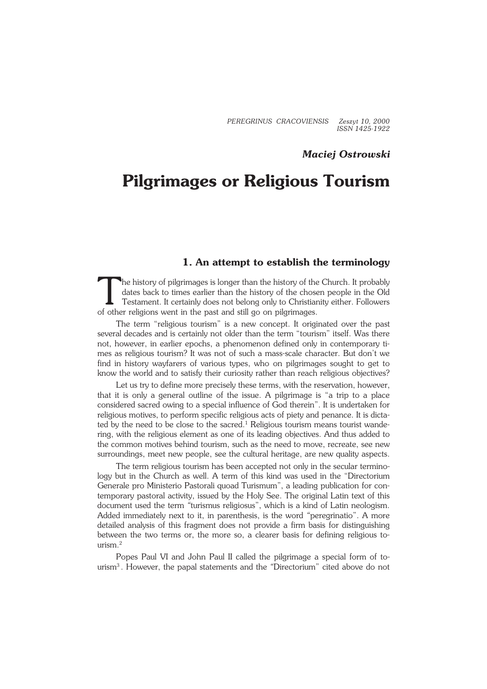*PEREGRINUS CRACOVIENSIS Zeszyt 10, 2000 ISSN 1425−1922*

# *Maciej Ostrowski*

# **Pilgrimages or Religious Tourism**

## **1. An attempt to establish the terminology**

The history of pilgrimages is longer than the history of the dates back to times earlier than the history of the chose Testament. It certainly does not belong only to Christian of other religions went in the past and still he history of pilgrimages is longer than the history of the Church. It probably dates back to times earlier than the history of the chosen people in the Old Testament. It certainly does not belong only to Christianity either. Followers

The term "religious tourism" is a new concept. It originated over the past several decades and is certainly not older than the term "tourism" itself. Was there not, however, in earlier epochs, a phenomenon defined only in contemporary ti− mes as religious tourism? It was not of such a mass−scale character. But don't we find in history wayfarers of various types, who on pilgrimages sought to get to know the world and to satisfy their curiosity rather than reach religious objectives?

Let us try to define more precisely these terms, with the reservation, however, that it is only a general outline of the issue. A pilgrimage is "a trip to a place considered sacred owing to a special influence of God therein". It is undertaken for religious motives, to perform specific religious acts of piety and penance. It is dicta− ted by the need to be close to the sacred.<sup>1</sup> Religious tourism means tourist wande− ring, with the religious element as one of its leading objectives. And thus added to the common motives behind tourism, such as the need to move, recreate, see new surroundings, meet new people, see the cultural heritage, are new quality aspects.

The term religious tourism has been accepted not only in the secular termino− logy but in the Church as well. A term of this kind was used in the "Directorium Generale pro Ministerio Pastorali quoad Turismum", a leading publication for con− temporary pastoral activity, issued by the Holy See. The original Latin text of this document used the term *"*turismus religiosus", which is a kind of Latin neologism. Added immediately next to it, in parenthesis, is the word *"*peregrinatio". A more detailed analysis of this fragment does not provide a firm basis for distinguishing between the two terms or, the more so, a clearer basis for defining religious to− urism. $<sup>2</sup>$ </sup>

Popes Paul VI and John Paul II called the pilgrimage a special form of to− urism<sup>3</sup> . However, the papal statements and the *"*Directorium" cited above do not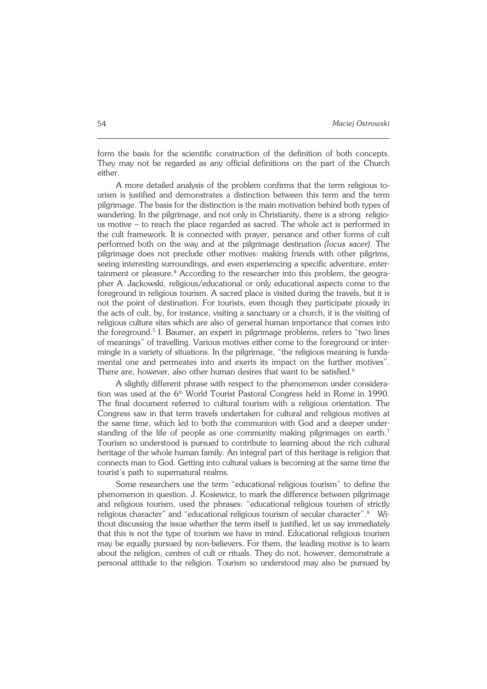form the basis for the scientific construction of the definition of both concepts. They may not be regarded as any official definitions on the part of the Church either.

A more detailed analysis of the problem confirms that the term religious to− urism is justified and demonstrates a distinction between this term and the term pilgrimage. The basis for the distinction is the main motivation behind both types of wandering. In the pilgrimage, and not only in Christianity, there is a strong religio− us motive – to reach the place regarded as sacred. The whole act is performed in the cult framework. It is connected with prayer, penance and other forms of cult performed both on the way and at the pilgrimage destination *(locus sacer)*. The pilgrimage does not preclude other motives: making friends with other pilgrims, seeing interesting surroundings, and even experiencing a specific adventure, entertainment or pleasure.<sup>4</sup> According to the researcher into this problem, the geographer A.Jackowski, religious/educational or only educational aspects come to the foreground in religious tourism. A sacred place is visited during the travels, but it is not the point of destination. For tourists, even though they participate piously in the acts of cult, by, for instance, visiting a sanctuary or a church, it is the visiting of religious culture sites which are also of general human importance that comes into the foreground.<sup>5</sup> I. Baumer, an expert in pilgrimage problems, refers to "two lines of meanings" of travelling. Various motives either come to the foreground or inter− mingle in a variety of situations. In the pilgrimage, "the religious meaning is funda− mental one and permeates into and exerts its impact on the further motives". There are, however, also other human desires that want to be satisfied.<sup>6</sup>

A slightly different phrase with respect to the phenomenon under considera− tion was used at the 6<sup>th</sup> World Tourist Pastoral Congress held in Rome in 1990. The final document referred to cultural tourism with a religious orientation. The Congress saw in that term travels undertaken for cultural and religious motives at the same time, which led to both the communion with God and a deeper under− standing of the life of people as one community making pilgrimages on earth.<sup>7</sup> Tourism so understood is pursued to contribute to learning about the rich cultural heritage of the whole human family. An integral part of this heritage is religion that connects man to God. Getting into cultural values is becoming at the same time the tourist's path to supernatural realms.

Some researchers use the term "educational religious tourism" to define the phenomenon in question. J. Kosiewicz, to mark the difference between pilgrimage and religious tourism, used the phrases: "educational religious tourism of strictly religious character" and "educational religious tourism of secular character".<sup>8</sup> Wi− thout discussing the issue whether the term itself is justified, let us say immediately that this is not the type of tourism we have in mind. Educational religious tourism may be equally pursued by non−believers. For them, the leading motive is to learn about the religion, centres of cult or rituals. They do not, however, demonstrate a personal attitude to the religion. Tourism so understood may also be pursued by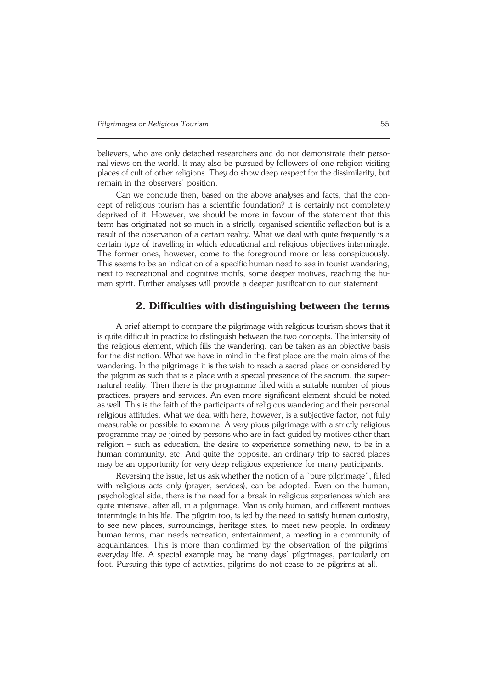believers, who are only detached researchers and do not demonstrate their perso− nal views on the world. It may also be pursued by followers of one religion visiting places of cult of other religions. They do show deep respect for the dissimilarity, but remain in the observers' position.

Can we conclude then, based on the above analyses and facts, that the con− cept of religious tourism has a scientific foundation? It is certainly not completely deprived of it. However, we should be more in favour of the statement that this term has originated not so much in a strictly organised scientific reflection but is a result of the observation of a certain reality. What we deal with quite frequently is a certain type of travelling in which educational and religious objectives intermingle. The former ones, however, come to the foreground more or less conspicuously. This seems to be an indication of a specific human need to see in tourist wandering, next to recreational and cognitive motifs, some deeper motives, reaching the human spirit. Further analyses will provide a deeper justification to our statement.

#### **2. Difficulties with distinguishing between the terms**

A brief attempt to compare the pilgrimage with religious tourism shows that it is quite difficult in practice to distinguish between the two concepts. The intensity of the religious element, which fills the wandering, can be taken as an objective basis for the distinction. What we have in mind in the first place are the main aims of the wandering. In the pilgrimage it is the wish to reach a sacred place or considered by the pilgrim as such that is a place with a special presence of the sacrum, the super− natural reality. Then there is the programme filled with a suitable number of pious practices, prayers and services. An even more significant element should be noted as well. This is the faith of the participants of religious wandering and their personal religious attitudes. What we deal with here, however, is a subjective factor, not fully measurable or possible to examine. A very pious pilgrimage with a strictly religious programme may be joined by persons who are in fact guided by motives other than religion – such as education, the desire to experience something new, to be in a human community, etc. And quite the opposite, an ordinary trip to sacred places may be an opportunity for very deep religious experience for many participants.

Reversing the issue, let us ask whether the notion of a "pure pilgrimage", filled with religious acts only (prayer, services), can be adopted. Even on the human, psychological side, there is the need for a break in religious experiences which are quite intensive, after all, in a pilgrimage. Man is only human, and different motives intermingle in his life. The pilgrim too, is led by the need to satisfy human curiosity, to see new places, surroundings, heritage sites, to meet new people. In ordinary human terms, man needs recreation, entertainment, a meeting in a community of acquaintances. This is more than confirmed by the observation of the pilgrims' everyday life. A special example may be many days' pilgrimages, particularly on foot. Pursuing this type of activities, pilgrims do not cease to be pilgrims at all.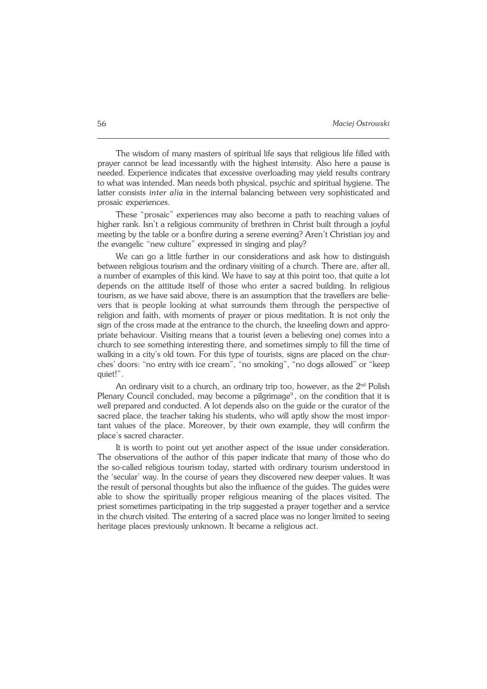The wisdom of many masters of spiritual life says that religious life filled with prayer cannot be lead incessantly with the highest intensity. Also here a pause is needed. Experience indicates that excessive overloading may yield results contrary to what was intended. Man needs both physical, psychic and spiritual hygiene. The latter consists *inter alia* in the internal balancing between very sophisticated and prosaic experiences.

These "prosaic" experiences may also become a path to reaching values of higher rank. Isn't a religious community of brethren in Christ built through a joyful meeting by the table or a bonfire during a serene evening? Aren't Christian joy and the evangelic "new culture" expressed in singing and play?

We can go a little further in our considerations and ask how to distinguish between religious tourism and the ordinary visiting of a church. There are, after all, a number of examples of this kind. We have to say at this point too, that quite a lot depends on the attitude itself of those who enter a sacred building. In religious tourism, as we have said above, there is an assumption that the travellers are belie− vers that is people looking at what surrounds them through the perspective of religion and faith, with moments of prayer or pious meditation. It is not only the sign of the cross made at the entrance to the church, the kneeling down and appro− priate behaviour. Visiting means that a tourist (even a believing one) comes into a church to see something interesting there, and sometimes simply to fill the time of walking in a city's old town. For this type of tourists, signs are placed on the chur− ches' doors: "no entry with ice cream", "no smoking", "no dogs allowed" or "keep quiet!".

An ordinary visit to a church, an ordinary trip too, however, as the 2<sup>nd</sup> Polish Plenary Council concluded, may become a pilgrimage $^{\circ}$ , on the condition that it is well prepared and conducted. A lot depends also on the guide or the curator of the sacred place, the teacher taking his students, who will aptly show the most important values of the place. Moreover, by their own example, they will confirm the place's sacred character.

It is worth to point out yet another aspect of the issue under consideration. The observations of the author of this paper indicate that many of those who do the so−called religious tourism today, started with ordinary tourism understood in the 'secular' way. In the course of years they discovered new deeper values. It was the result of personal thoughts but also the influence of the guides. The guides were able to show the spiritually proper religious meaning of the places visited. The priest sometimes participating in the trip suggested a prayer together and a service in the church visited. The entering of a sacred place was no longer limited to seeing heritage places previously unknown. It became a religious act.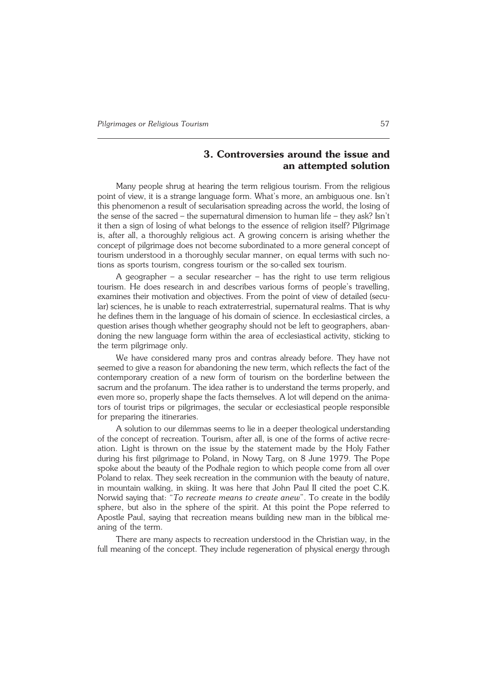# **3. Controversies around the issue and an attempted solution**

Many people shrug at hearing the term religious tourism. From the religious point of view, it is a strange language form. What's more, an ambiguous one. Isn't this phenomenon a result of secularisation spreading across the world, the losing of the sense of the sacred – the supernatural dimension to human life – they ask? Isn't it then a sign of losing of what belongs to the essence of religion itself? Pilgrimage is, after all, a thoroughly religious act. A growing concern is arising whether the concept of pilgrimage does not become subordinated to a more general concept of tourism understood in a thoroughly secular manner, on equal terms with such notions as sports tourism, congress tourism or the so−called sex tourism.

A geographer – a secular researcher – has the right to use term religious tourism. He does research in and describes various forms of people's travelling, examines their motivation and objectives. From the point of view of detailed (secu− lar) sciences, he is unable to reach extraterrestrial, supernatural realms. That is why he defines them in the language of his domain of science. In ecclesiastical circles, a question arises though whether geography should not be left to geographers, abandoning the new language form within the area of ecclesiastical activity, sticking to the term pilgrimage only.

We have considered many pros and contras already before. They have not seemed to give a reason for abandoning the new term, which reflects the fact of the contemporary creation of a new form of tourism on the borderline between the sacrum and the profanum. The idea rather is to understand the terms properly, and even more so, properly shape the facts themselves. A lot will depend on the animators of tourist trips or pilgrimages, the secular or ecclesiastical people responsible for preparing the itineraries.

A solution to our dilemmas seems to lie in a deeper theological understanding of the concept of recreation. Tourism, after all, is one of the forms of active recre− ation. Light is thrown on the issue by the statement made by the Holy Father during his first pilgrimage to Poland, in Nowy Targ, on 8 June 1979. The Pope spoke about the beauty of the Podhale region to which people come from all over Poland to relax. They seek recreation in the communion with the beauty of nature, in mountain walking, in skiing. It was here that John Paul II cited the poet C.K. Norwid saying that: "*To recreate means to create anew*". To create in the bodily sphere, but also in the sphere of the spirit. At this point the Pope referred to Apostle Paul, saying that recreation means building new man in the biblical me− aning of the term.

There are many aspects to recreation understood in the Christian way, in the full meaning of the concept. They include regeneration of physical energy through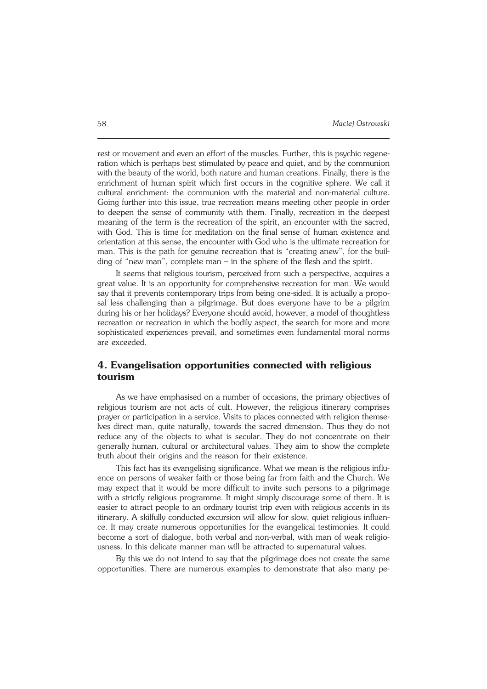rest or movement and even an effort of the muscles. Further, this is psychic regene− ration which is perhaps best stimulated by peace and quiet, and by the communion with the beauty of the world, both nature and human creations. Finally, there is the enrichment of human spirit which first occurs in the cognitive sphere. We call it cultural enrichment: the communion with the material and non−material culture. Going further into this issue, true recreation means meeting other people in order to deepen the sense of community with them. Finally, recreation in the deepest meaning of the term is the recreation of the spirit, an encounter with the sacred, with God. This is time for meditation on the final sense of human existence and orientation at this sense, the encounter with God who is the ultimate recreation for man. This is the path for genuine recreation that is "creating anew", for the buil− ding of "new man", complete man – in the sphere of the flesh and the spirit.

It seems that religious tourism, perceived from such a perspective, acquires a great value. It is an opportunity for comprehensive recreation for man. We would say that it prevents contemporary trips from being one−sided. It is actually a propo− sal less challenging than a pilgrimage. But does everyone have to be a pilgrim during his or her holidays? Everyone should avoid, however, a model of thoughtless recreation or recreation in which the bodily aspect, the search for more and more sophisticated experiences prevail, and sometimes even fundamental moral norms are exceeded.

# **4. Evangelisation opportunities connected with religious tourism**

As we have emphasised on a number of occasions, the primary objectives of religious tourism are not acts of cult. However, the religious itinerary comprises prayer or participation in a service. Visits to places connected with religion themse− lves direct man, quite naturally, towards the sacred dimension. Thus they do not reduce any of the objects to what is secular. They do not concentrate on their generally human, cultural or architectural values. They aim to show the complete truth about their origins and the reason for their existence.

This fact has its evangelising significance. What we mean is the religious influ− ence on persons of weaker faith or those being far from faith and the Church. We may expect that it would be more difficult to invite such persons to a pilgrimage with a strictly religious programme. It might simply discourage some of them. It is easier to attract people to an ordinary tourist trip even with religious accents in its itinerary. A skilfully conducted excursion will allow for slow, quiet religious influen− ce. It may create numerous opportunities for the evangelical testimonies. It could become a sort of dialogue, both verbal and non−verbal, with man of weak religio− usness. In this delicate manner man will be attracted to supernatural values.

By this we do not intend to say that the pilgrimage does not create the same opportunities. There are numerous examples to demonstrate that also many pe−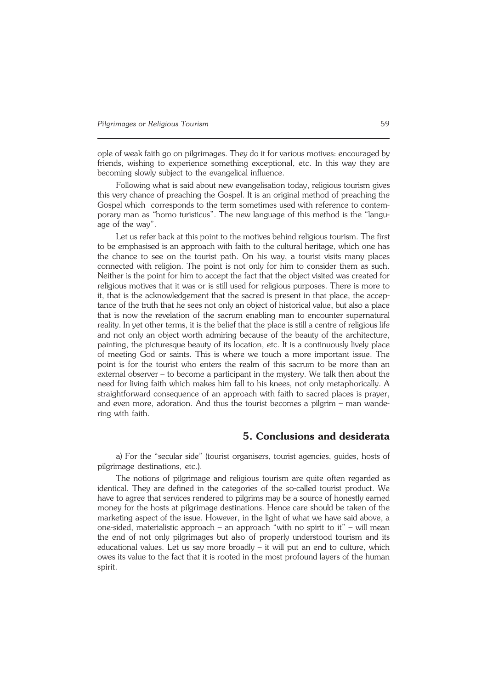ople of weak faith go on pilgrimages. They do it for various motives: encouraged by friends, wishing to experience something exceptional, etc. In this way they are becoming slowly subject to the evangelical influence.

Following what is said about new evangelisation today, religious tourism gives this very chance of preaching the Gospel. It is an original method of preaching the Gospel which corresponds to the term sometimes used with reference to contem− porary man as *"*homo turisticus". The new language of this method is the "langu− age of the way".

Let us refer back at this point to the motives behind religious tourism. The first to be emphasised is an approach with faith to the cultural heritage, which one has the chance to see on the tourist path. On his way, a tourist visits many places connected with religion. The point is not only for him to consider them as such. Neither is the point for him to accept the fact that the object visited was created for religious motives that it was or is still used for religious purposes. There is more to it, that is the acknowledgement that the sacred is present in that place, the accep− tance of the truth that he sees not only an object of historical value, but also a place that is now the revelation of the sacrum enabling man to encounter supernatural reality. In yet other terms, it is the belief that the place is still a centre of religious life and not only an object worth admiring because of the beauty of the architecture, painting, the picturesque beauty of its location, etc. It is a continuously lively place of meeting God or saints. This is where we touch a more important issue. The point is for the tourist who enters the realm of this sacrum to be more than an external observer – to become a participant in the mystery. We talk then about the need for living faith which makes him fall to his knees, not only metaphorically. A straightforward consequence of an approach with faith to sacred places is prayer, and even more, adoration. And thus the tourist becomes a pilgrim – man wande− ring with faith.

### **5. Conclusions and desiderata**

a) For the "secular side" (tourist organisers, tourist agencies, guides, hosts of pilgrimage destinations, etc.).

The notions of pilgrimage and religious tourism are quite often regarded as identical. They are defined in the categories of the so−called tourist product. We have to agree that services rendered to pilgrims may be a source of honestly earned money for the hosts at pilgrimage destinations. Hence care should be taken of the marketing aspect of the issue. However, in the light of what we have said above, a one−sided, materialistic approach – an approach "with no spirit to it" – will mean the end of not only pilgrimages but also of properly understood tourism and its educational values. Let us say more broadly – it will put an end to culture, which owes its value to the fact that it is rooted in the most profound layers of the human spirit.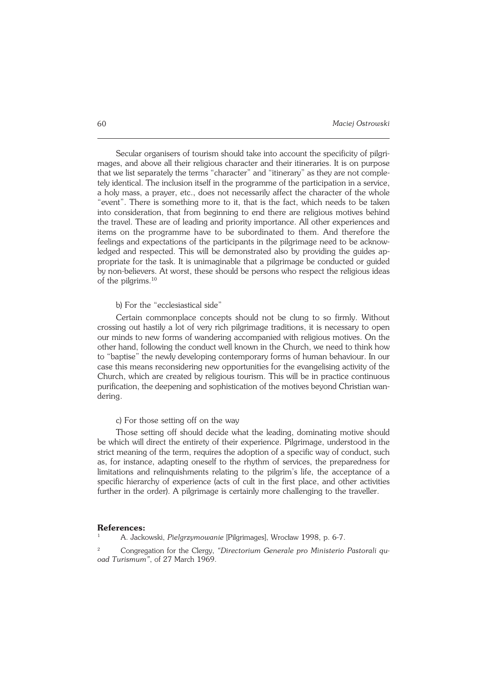Secular organisers of tourism should take into account the specificity of pilgri− mages, and above all their religious character and their itineraries. It is on purpose that we list separately the terms "character" and "itinerary" as they are not comple− tely identical. The inclusion itself in the programme of the participation in a service, a holy mass, a prayer, etc., does not necessarily affect the character of the whole "event". There is something more to it, that is the fact, which needs to be taken into consideration, that from beginning to end there are religious motives behind the travel. These are of leading and priority importance. All other experiences and items on the programme have to be subordinated to them. And therefore the feelings and expectations of the participants in the pilgrimage need to be acknowledged and respected. This will be demonstrated also by providing the guides ap− propriate for the task. It is unimaginable that a pilgrimage be conducted or guided by non−believers. At worst, these should be persons who respect the religious ideas of the pilgrims.<sup>10</sup>

#### b) For the "ecclesiastical side"

Certain commonplace concepts should not be clung to so firmly. Without crossing out hastily a lot of very rich pilgrimage traditions, it is necessary to open our minds to new forms of wandering accompanied with religious motives. On the other hand, following the conduct well known in the Church, we need to think how to "baptise" the newly developing contemporary forms of human behaviour. In our case this means reconsidering new opportunities for the evangelising activity of the Church, which are created by religious tourism. This will be in practice continuous purification, the deepening and sophistication of the motives beyond Christian wan− dering.

#### c) For those setting off on the way

Those setting off should decide what the leading, dominating motive should be which will direct the entirety of their experience. Pilgrimage, understood in the strict meaning of the term, requires the adoption of a specific way of conduct, such as, for instance, adapting oneself to the rhythm of services, the preparedness for limitations and relinquishments relating to the pilgrim's life, the acceptance of a specific hierarchy of experience (acts of cult in the first place, and other activities further in the order). A pilgrimage is certainly more challenging to the traveller.

#### **References:**

<sup>1</sup> A. Jackowski, *Pielgrzymowanie* [Pilgrimages], Wrocław 1998, p. 6−7.

<sup>2</sup> Congregation for the Clergy, *"Directorium Generale pro Ministerio Pastorali qu− oad Turismum"*, of 27 March 1969.